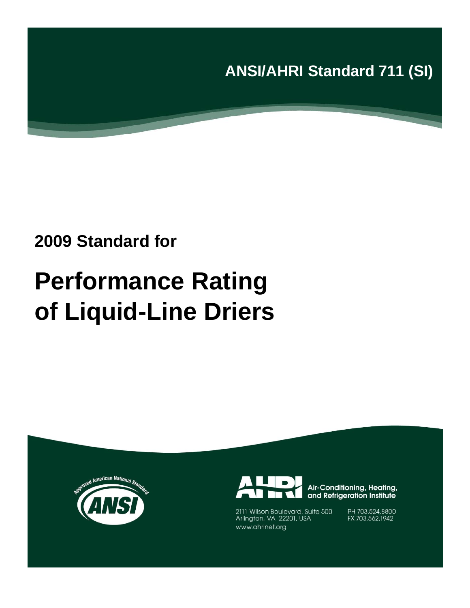**ANSI/AHRI Standard 711 (SI)**

# **2009 Standard for**

# **Performance Rating of Liquid-Line Driers**





Air-Conditioning, Heating, and Refrigeration Institute

2111 Wilson Boulevard, Suite 500<br>Arlington, VA 22201, USA www.ahrinet.org

PH 703.524.8800<br>FX 703.562.1942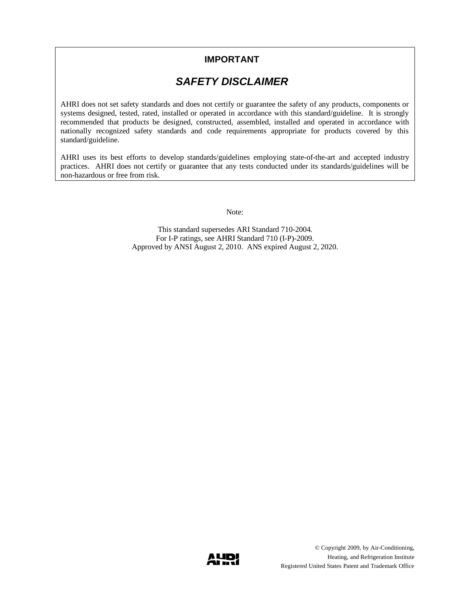### **IMPORTANT**

## *SAFETY DISCLAIMER*

AHRI does not set safety standards and does not certify or guarantee the safety of any products, components or systems designed, tested, rated, installed or operated in accordance with this standard/guideline. It is strongly recommended that products be designed, constructed, assembled, installed and operated in accordance with nationally recognized safety standards and code requirements appropriate for products covered by this standard/guideline.

AHRI uses its best efforts to develop standards/guidelines employing state-of-the-art and accepted industry practices. AHRI does not certify or guarantee that any tests conducted under its standards/guidelines will be non-hazardous or free from risk.

Note:

This standard supersedes ARI Standard 710-2004. For I-P ratings, see AHRI Standard 710 (I-P)-2009. Approved by ANSI August 2, 2010. ANS expired August 2, 2020.

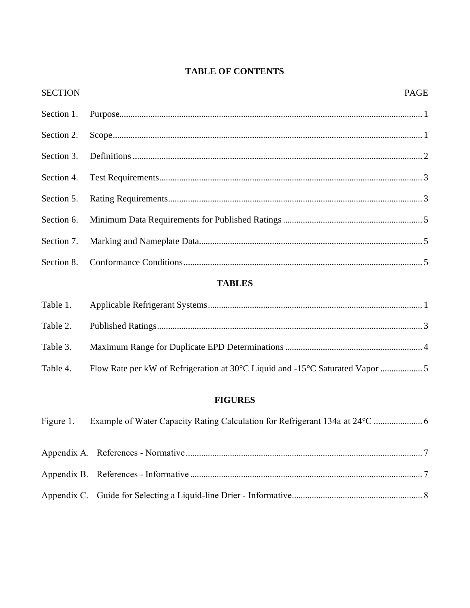## **TABLE OF CONTENTS**

| <b>SECTION</b> | <b>PAGE</b> |
|----------------|-------------|
|                |             |
|                |             |
|                |             |
|                |             |
|                |             |
|                |             |
|                |             |
|                |             |

## **TABLES**

| Table 4. | Flow Rate per kW of Refrigeration at 30°C Liquid and -15°C Saturated Vapor 5 |  |
|----------|------------------------------------------------------------------------------|--|

## **FIGURES**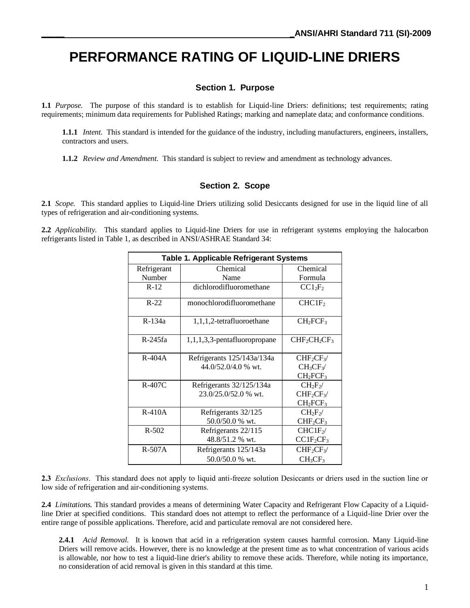# **PERFORMANCE RATING OF LIQUID-LINE DRIERS**

#### **Section 1. Purpose**

**1.1** *Purpose.* The purpose of this standard is to establish for Liquid-line Driers: definitions; test requirements; rating requirements; minimum data requirements for Published Ratings; marking and nameplate data; and conformance conditions.

**1.1.1** *Intent.* This standard is intended for the guidance of the industry, including manufacturers, engineers, installers, contractors and users.

**1.1.2** *Review and Amendment.* This standard is subject to review and amendment as technology advances.

#### **Section 2. Scope**

**2.1** *Scope.* This standard applies to Liquid-line Driers utilizing solid Desiccants designed for use in the liquid line of all types of refrigeration and air-conditioning systems.

**2.2** *Applicability.* This standard applies to Liquid-line Driers for use in refrigerant systems employing the halocarbon refrigerants listed in Table 1, as described in ANSI/ASHRAE Standard 34:

| <b>Table 1. Applicable Refrigerant Systems</b> |                                 |                                   |  |  |
|------------------------------------------------|---------------------------------|-----------------------------------|--|--|
| Refrigerant                                    | Chemical                        |                                   |  |  |
| Number                                         | Name                            | Formula                           |  |  |
| $R-12$                                         | dichlorodifluoromethane         | $CC1_2F_2$                        |  |  |
| $R-22$                                         | monochlorodifluoromethane       | CHCIF <sub>2</sub>                |  |  |
| R-134a                                         | 1,1,1,2-tetrafluoroethane       |                                   |  |  |
| R-245fa                                        | $1,1,1,3,3$ -pentafluoropropane | $CHF2CH2CF3$                      |  |  |
| $R-404A$                                       | Refrigerants 125/143a/134a      | $CHF_2CF_3$                       |  |  |
|                                                | $44.0/52.0/4.0$ % wt.           | $CH_3CF_3$                        |  |  |
|                                                |                                 | CH <sub>2</sub> FCF <sub>3</sub>  |  |  |
| $R-407C$                                       | Refrigerants 32/125/134a        | $CH2F2$ /                         |  |  |
|                                                | 23.0/25.0/52.0 % wt.            | CHF <sub>2</sub> CF <sub>3</sub>  |  |  |
|                                                |                                 | $CH_2FCF_3$                       |  |  |
| $R-410A$                                       | Refrigerants 32/125             | $CH2F2$ /                         |  |  |
|                                                | 50.0/50.0 % wt.                 | $CHF_2CF_3$                       |  |  |
| $R - 502$                                      | Refrigerants 22/115             | CHCIF <sub>2</sub>                |  |  |
| 48.8/51.2 % wt.                                |                                 | CCIF <sub>2</sub> CF <sub>3</sub> |  |  |
| $R-507A$                                       | Refrigerants 125/143a           | $CHF_2CF_3$                       |  |  |
|                                                | 50.0/50.0 % wt.                 | $CH_3CF_3$                        |  |  |

**2.3** *Exclusions*. This standard does not apply to liquid anti-freeze solution Desiccants or driers used in the suction line or low side of refrigeration and air-conditioning systems.

**2.4** *Limitations.* This standard provides a means of determining Water Capacity and Refrigerant Flow Capacity of a Liquidline Drier at specified conditions. This standard does not attempt to reflect the performance of a Liquid-line Drier over the entire range of possible applications. Therefore, acid and particulate removal are not considered here.

**2.4.1** *Acid Removal.* It is known that acid in a refrigeration system causes harmful corrosion. Many Liquid-line Driers will remove acids. However, there is no knowledge at the present time as to what concentration of various acids is allowable, nor how to test a liquid-line drier's ability to remove these acids. Therefore, while noting its importance, no consideration of acid removal is given in this standard at this time.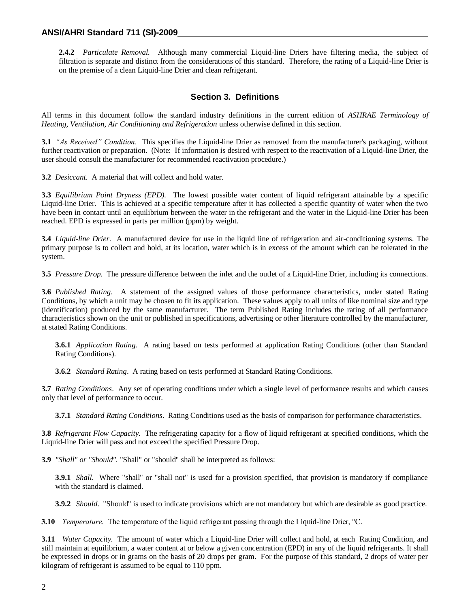**2.4.2** *Particulate Removal.* Although many commercial Liquid-line Driers have filtering media, the subject of filtration is separate and distinct from the considerations of this standard. Therefore, the rating of a Liquid-line Drier is on the premise of a clean Liquid-line Drier and clean refrigerant.

#### **Section 3. Definitions**

All terms in this document follow the standard industry definitions in the current edition of *ASHRAE Terminology of Heating, Ventilation, Air Conditioning and Refrigeration* unless otherwise defined in this section.

**3.1** *"As Received" Condition.* This specifies the Liquid-line Drier as removed from the manufacturer's packaging, without further reactivation or preparation. (Note: If information is desired with respect to the reactivation of a Liquid-line Drier, the user should consult the manufacturer for recommended reactivation procedure.)

**3.2** *Desiccant.* A material that will collect and hold water.

**3.3** *Equilibrium Point Dryness (EPD).* The lowest possible water content of liquid refrigerant attainable by a specific Liquid-line Drier. This is achieved at a specific temperature after it has collected a specific quantity of water when the two have been in contact until an equilibrium between the water in the refrigerant and the water in the Liquid-line Drier has been reached. EPD is expressed in parts per million (ppm) by weight.

**3.4** *Liquid-line Drier.* A manufactured device for use in the liquid line of refrigeration and air-conditioning systems. The primary purpose is to collect and hold, at its location, water which is in excess of the amount which can be tolerated in the system.

**3.5** *Pressure Drop.* The pressure difference between the inlet and the outlet of a Liquid-line Drier, including its connections.

**3.6** *Published Rating*. A statement of the assigned values of those performance characteristics, under stated Rating Conditions, by which a unit may be chosen to fit its application. These values apply to all units of like nominal size and type (identification) produced by the same manufacturer. The term Published Rating includes the rating of all performance characteristics shown on the unit or published in specifications, advertising or other literature controlled by the manufacturer, at stated Rating Conditions.

**3.6.1** *Application Rating*. A rating based on tests performed at application Rating Conditions (other than Standard Rating Conditions).

**3.6.2** *Standard Rating*. A rating based on tests performed at Standard Rating Conditions.

**3.7** *Rating Conditions*. Any set of operating conditions under which a single level of performance results and which causes only that level of performance to occur.

**3.7.1** *Standard Rating Conditions*. Rating Conditions used as the basis of comparison for performance characteristics.

**3.8** *Refrigerant Flow Capacity.* The refrigerating capacity for a flow of liquid refrigerant at specified conditions, which the Liquid-line Drier will pass and not exceed the specified Pressure Drop.

**3.9** *"Shall" or "Should".* "Shall" or "should" shall be interpreted as follows:

**3.9.1** *Shall.* Where "shall" or "shall not" is used for a provision specified, that provision is mandatory if compliance with the standard is claimed.

**3.9.2** *Should.* "Should" is used to indicate provisions which are not mandatory but which are desirable as good practice.

**3.10** *Temperature.* The temperature of the liquid refrigerant passing through the Liquid-line Drier, °C.

**3.11** *Water Capacity.* The amount of water which a Liquid-line Drier will collect and hold, at each Rating Condition, and still maintain at equilibrium, a water content at or below a given concentration (EPD) in any of the liquid refrigerants. It shall be expressed in drops or in grams on the basis of 20 drops per gram. For the purpose of this standard, 2 drops of water per kilogram of refrigerant is assumed to be equal to 110 ppm.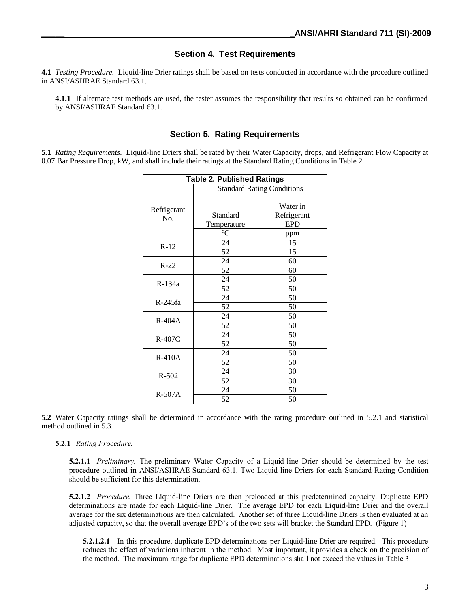#### **Section 4. Test Requirements**

**4.1** *Testing Procedure.* Liquid-line Drier ratings shall be based on tests conducted in accordance with the procedure outlined in ANSI/ASHRAE Standard 63.1.

**4.1.1** If alternate test methods are used, the tester assumes the responsibility that results so obtained can be confirmed by ANSI/ASHRAE Standard 63.1.

#### **Section 5. Rating Requirements**

**5.1** *Rating Requirements.* Liquid-line Driers shall be rated by their Water Capacity, drops, and Refrigerant Flow Capacity at 0.07 Bar Pressure Drop, kW, and shall include their ratings at the Standard Rating Conditions in Table 2.

| <b>Table 2. Published Ratings</b> |                                   |                         |  |  |
|-----------------------------------|-----------------------------------|-------------------------|--|--|
|                                   | <b>Standard Rating Conditions</b> |                         |  |  |
| Refrigerant                       | Standard                          | Water in<br>Refrigerant |  |  |
| No.                               | Temperature                       | <b>EPD</b>              |  |  |
|                                   | $^{\circ}C$                       | ppm                     |  |  |
| $R-12$                            | 24                                | 15                      |  |  |
|                                   | 52                                | 15                      |  |  |
| $R-22$                            | 24                                | 60                      |  |  |
|                                   | 52                                | 60                      |  |  |
| R-134a                            | 24                                | 50                      |  |  |
|                                   | 52                                | 50                      |  |  |
| R-245fa                           | 24                                | 50                      |  |  |
|                                   | 52                                | 50                      |  |  |
| $R-404A$                          | 24                                | 50                      |  |  |
|                                   | 52                                | 50                      |  |  |
| R-407C                            | 24                                | 50                      |  |  |
|                                   | 52                                | 50                      |  |  |
| $R-410A$                          | 24                                | 50                      |  |  |
|                                   | 52                                | 50                      |  |  |
| $R - 502$                         | 24                                | 30                      |  |  |
|                                   | 52                                | 30                      |  |  |
| $R-507A$                          | 24                                | 50                      |  |  |
|                                   | 52                                | 50                      |  |  |

**5.2** Water Capacity ratings shall be determined in accordance with the rating procedure outlined in 5.2.1 and statistical method outlined in 5.3.

#### **5.2.1** *Rating Procedure.*

**5.2.1.1** *Preliminary.* The preliminary Water Capacity of a Liquid-line Drier should be determined by the test procedure outlined in ANSI/ASHRAE Standard 63.1. Two Liquid-line Driers for each Standard Rating Condition should be sufficient for this determination.

**5.2.1.2** *Procedure.* Three Liquid-line Driers are then preloaded at this predetermined capacity. Duplicate EPD determinations are made for each Liquid-line Drier. The average EPD for each Liquid-line Drier and the overall average for the six determinations are then calculated. Another set of three Liquid-line Driers is then evaluated at an adjusted capacity, so that the overall average EPD's of the two sets will bracket the Standard EPD. (Figure 1)

**5.2.1.2.1** In this procedure, duplicate EPD determinations per Liquid-line Drier are required. This procedure reduces the effect of variations inherent in the method. Most important, it provides a check on the precision of the method. The maximum range for duplicate EPD determinations shall not exceed the values in Table 3.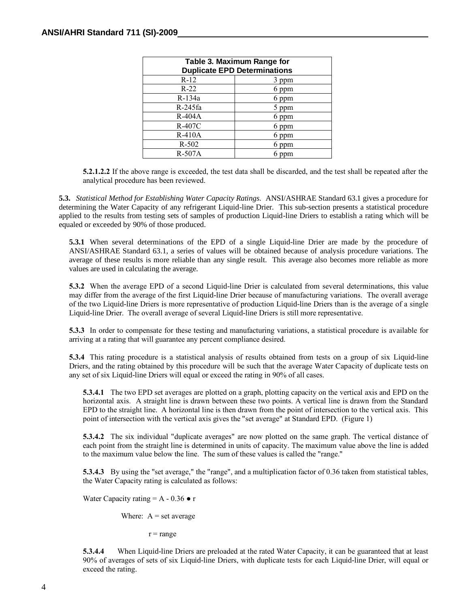| Table 3. Maximum Range for<br><b>Duplicate EPD Determinations</b> |       |  |  |
|-------------------------------------------------------------------|-------|--|--|
| $R-12$                                                            | 3 ppm |  |  |
| $R-22$                                                            | 6 ppm |  |  |
| R-134a                                                            | 6 ppm |  |  |
| $R-245fa$                                                         | 5 ppm |  |  |
| $R-404A$                                                          | 6 ppm |  |  |
| R-407C                                                            | 6 ppm |  |  |
| $R-410A$                                                          | 6 ppm |  |  |
| $R-502$                                                           | ppm   |  |  |
| R-507A                                                            |       |  |  |

**5.2.1.2.2** If the above range is exceeded, the test data shall be discarded, and the test shall be repeated after the analytical procedure has been reviewed.

**5.3.** *Statistical Method for Establishing Water Capacity Ratings.* ANSI/ASHRAE Standard 63.1 gives a procedure for determining the Water Capacity of any refrigerant Liquid-line Drier. This sub-section presents a statistical procedure applied to the results from testing sets of samples of production Liquid-line Driers to establish a rating which will be equaled or exceeded by 90% of those produced.

**5.3.1** When several determinations of the EPD of a single Liquid-line Drier are made by the procedure of ANSI/ASHRAE Standard 63.1, a series of values will be obtained because of analysis procedure variations. The average of these results is more reliable than any single result. This average also becomes more reliable as more values are used in calculating the average.

**5.3.2** When the average EPD of a second Liquid-line Drier is calculated from several determinations, this value may differ from the average of the first Liquid-line Drier because of manufacturing variations. The overall average of the two Liquid-line Driers is more representative of production Liquid-line Driers than is the average of a single Liquid-line Drier. The overall average of several Liquid-line Driers is still more representative.

**5.3.3** In order to compensate for these testing and manufacturing variations, a statistical procedure is available for arriving at a rating that will guarantee any percent compliance desired.

**5.3.4** This rating procedure is a statistical analysis of results obtained from tests on a group of six Liquid-line Driers, and the rating obtained by this procedure will be such that the average Water Capacity of duplicate tests on any set of six Liquid-line Driers will equal or exceed the rating in 90% of all cases.

**5.3.4.1** The two EPD set averages are plotted on a graph, plotting capacity on the vertical axis and EPD on the horizontal axis. A straight line is drawn between these two points. A vertical line is drawn from the Standard EPD to the straight line. A horizontal line is then drawn from the point of intersection to the vertical axis. This point of intersection with the vertical axis gives the "set average" at Standard EPD. (Figure 1)

**5.3.4.2** The six individual "duplicate averages" are now plotted on the same graph. The vertical distance of each point from the straight line is determined in units of capacity. The maximum value above the line is added to the maximum value below the line. The sum of these values is called the "range."

**5.3.4.3** By using the "set average," the "range", and a multiplication factor of 0.36 taken from statistical tables, the Water Capacity rating is calculated as follows:

Water Capacity rating  $= A - 0.36 \cdot r$ 

Where:  $A = set average$ 

 $r = range$ 

**5.3.4.4** When Liquid-line Driers are preloaded at the rated Water Capacity, it can be guaranteed that at least 90% of averages of sets of six Liquid-line Driers, with duplicate tests for each Liquid-line Drier, will equal or exceed the rating.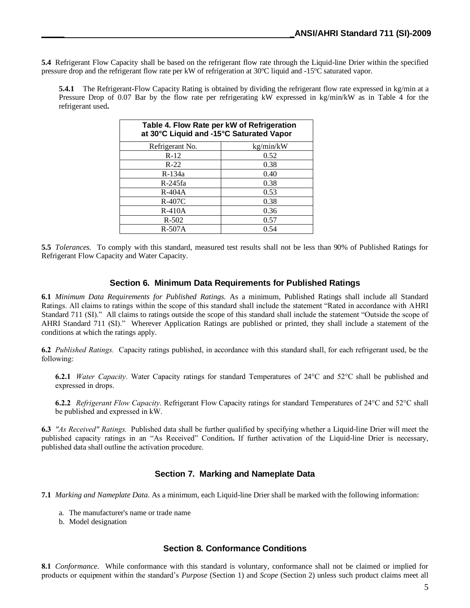**5.4** Refrigerant Flow Capacity shall be based on the refrigerant flow rate through the Liquid-line Drier within the specified pressure drop and the refrigerant flow rate per kW of refrigeration at 30°C liquid and -15°C saturated vapor.

**5.4.1** The Refrigerant-Flow Capacity Rating is obtained by dividing the refrigerant flow rate expressed in kg/min at a Pressure Drop of 0.07 Bar by the flow rate per refrigerating kW expressed in kg/min/kW as in Table 4 for the refrigerant used**.**

| Table 4. Flow Rate per kW of Refrigeration<br>at 30°C Liquid and -15°C Saturated Vapor |           |  |  |
|----------------------------------------------------------------------------------------|-----------|--|--|
| Refrigerant No.                                                                        | kg/min/kW |  |  |
| $R-12$                                                                                 | 0.52      |  |  |
| $R-22$                                                                                 | 0.38      |  |  |
| $R-134a$                                                                               | 0.40      |  |  |
| $R-245fa$                                                                              | 0.38      |  |  |
| R-404A                                                                                 | 0.53      |  |  |
| $R-407C$                                                                               | 0.38      |  |  |
| $R-410A$                                                                               | 0.36      |  |  |
| $R - 502$                                                                              | 0.57      |  |  |
| $R-507A$                                                                               | 0.54      |  |  |

**5.5** *Tolerances.* To comply with this standard, measured test results shall not be less than 90% of Published Ratings for Refrigerant Flow Capacity and Water Capacity.

#### **Section 6. Minimum Data Requirements for Published Ratings**

**6.1** *Minimum Data Requirements for Published Ratings.* As a minimum, Published Ratings shall include all Standard Ratings. All claims to ratings within the scope of this standard shall include the statement "Rated in accordance with AHRI Standard 711 (SI)." All claims to ratings outside the scope of this standard shall include the statement "Outside the scope of AHRI Standard 711 (SI)." Wherever Application Ratings are published or printed, they shall include a statement of the conditions at which the ratings apply.

**6.2** *Published Ratings.* Capacity ratings published, in accordance with this standard shall, for each refrigerant used, be the following:

**6.2.1** *Water Capacity*. Water Capacity ratings for standard Temperatures of 24°C and 52°C shall be published and expressed in drops.

**6.2.2** *Refrigerant Flow Capacity*. Refrigerant Flow Capacity ratings for standard Temperatures of 24°C and 52°C shall be published and expressed in kW.

**6.3** *"As Received" Ratings.* Published data shall be further qualified by specifying whether a Liquid-line Drier will meet the published capacity ratings in an "As Received" Condition**.** If further activation of the Liquid-line Drier is necessary, published data shall outline the activation procedure.

#### **Section 7. Marking and Nameplate Data**

**7.1** *Marking and Nameplate Data.* As a minimum, each Liquid-line Drier shall be marked with the following information:

- a. The manufacturer's name or trade name
- b. Model designation

#### **Section 8. Conformance Conditions**

**8.1** *Conformance*. While conformance with this standard is voluntary, conformance shall not be claimed or implied for products or equipment within the standard's *Purpose* (Section 1) and *Scope* (Section 2) unless such product claims meet all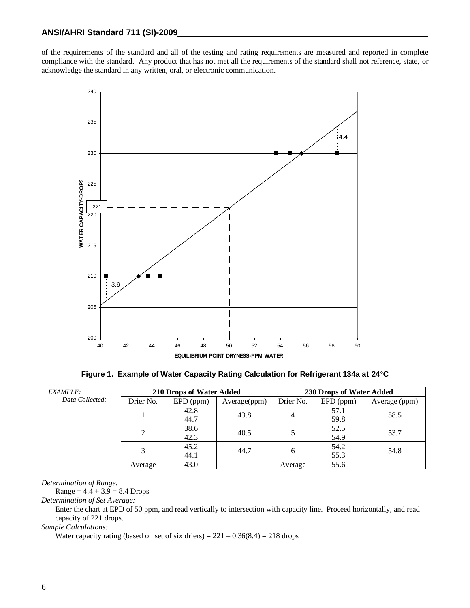of the requirements of the standard and all of the testing and rating requirements are measured and reported in complete compliance with the standard. Any product that has not met all the requirements of the standard shall not reference, state, or acknowledge the standard in any written, oral, or electronic communication.



**Figure 1. Example of Water Capacity Rating Calculation for Refrigerant 134a at 24**°**C**

| <b>EXAMPLE:</b> | 210 Drops of Water Added |             | 230 Drops of Water Added |           |             |               |      |
|-----------------|--------------------------|-------------|--------------------------|-----------|-------------|---------------|------|
| Data Collected: | Drier No.                | $EPD$ (ppm) | Average(ppm)             | Drier No. | $EPD$ (ppm) | Average (ppm) |      |
|                 |                          | 42.8        | 43.8                     |           | 57.1        | 58.5          |      |
|                 |                          | 44.7        |                          | 4         | 59.8        |               |      |
|                 |                          | 38.6        | 40.5                     |           | 52.5        | 53.7          |      |
|                 |                          | 42.3        |                          |           | 54.9        |               |      |
|                 |                          | 45.2        | 44.7                     |           | 6           | 54.2          | 54.8 |
|                 |                          | 44.1        |                          |           | 55.3        |               |      |
|                 | Average                  | 43.0        |                          | Average   | 55.6        |               |      |

*Determination of Range:*

 $Range = 4.4 + 3.9 = 8.4$  Drops

*Determination of Set Average:*

Enter the chart at EPD of 50 ppm, and read vertically to intersection with capacity line. Proceed horizontally, and read capacity of 221 drops.

*Sample Calculations:*

Water capacity rating (based on set of six driers) =  $221 - 0.36(8.4) = 218$  drops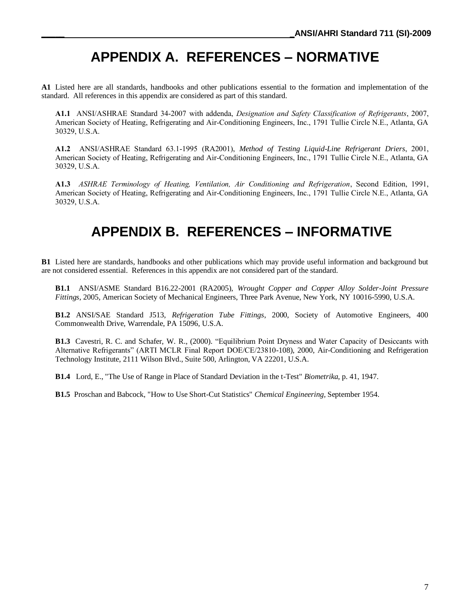# **APPENDIX A. REFERENCES – NORMATIVE**

**A1** Listed here are all standards, handbooks and other publications essential to the formation and implementation of the standard. All references in this appendix are considered as part of this standard.

**A1.1** ANSI/ASHRAE Standard 34-2007 with addenda, *Designation and Safety Classification of Refrigerants*, 2007, American Society of Heating, Refrigerating and Air-Conditioning Engineers, Inc., 1791 Tullie Circle N.E., Atlanta, GA 30329, U.S.A.

**A1.2** ANSI/ASHRAE Standard 63.1-1995 (RA2001), *Method of Testing Liquid-Line Refrigerant Driers*, 2001, American Society of Heating, Refrigerating and Air-Conditioning Engineers, Inc., 1791 Tullie Circle N.E., Atlanta, GA 30329, U.S.A.

**A1.3** *ASHRAE Terminology of Heating, Ventilation, Air Conditioning and Refrigeration*, Second Edition, 1991, American Society of Heating, Refrigerating and Air-Conditioning Engineers, Inc., 1791 Tullie Circle N.E., Atlanta, GA 30329, U.S.A.

## **APPENDIX B. REFERENCES – INFORMATIVE**

**B1** Listed here are standards, handbooks and other publications which may provide useful information and background but are not considered essential. References in this appendix are not considered part of the standard.

**B1.1** ANSI/ASME Standard B16.22-2001 (RA2005), *Wrought Copper and Copper Alloy Solder-Joint Pressure Fittings*, 2005, American Society of Mechanical Engineers, Three Park Avenue, New York, NY 10016-5990, U.S.A.

**B1.2** ANSI/SAE Standard J513, *Refrigeration Tube Fittings*, 2000, Society of Automotive Engineers, 400 Commonwealth Drive, Warrendale, PA 15096, U.S.A.

**B1.3** Cavestri, R. C. and Schafer, W. R., (2000). "Equilibrium Point Dryness and Water Capacity of Desiccants with Alternative Refrigerants" (ARTI MCLR Final Report DOE/CE/23810-108), 2000, Air-Conditioning and Refrigeration Technology Institute, 2111 Wilson Blvd., Suite 500, Arlington, VA 22201, U.S.A.

**B1.4** Lord, E., "The Use of Range in Place of Standard Deviation in the t-Test" *Biometrika*, p. 41, 1947.

**B1.5** Proschan and Babcock, "How to Use Short-Cut Statistics" *Chemical Engineering,* September 1954.